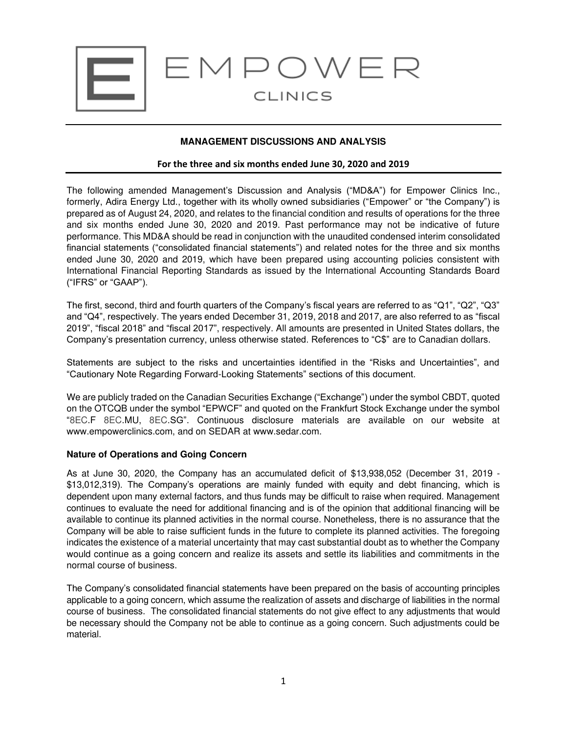

# **MANAGEMENT DISCUSSIONS AND ANALYSIS**

#### **For the three and six months ended June 30, 2020 and 2019**

The following amended Management's Discussion and Analysis ("MD&A") for Empower Clinics Inc., formerly, Adira Energy Ltd., together with its wholly owned subsidiaries ("Empower" or "the Company") is prepared as of August 24, 2020, and relates to the financial condition and results of operations for the three and six months ended June 30, 2020 and 2019. Past performance may not be indicative of future performance. This MD&A should be read in conjunction with the unaudited condensed interim consolidated financial statements ("consolidated financial statements") and related notes for the three and six months ended June 30, 2020 and 2019, which have been prepared using accounting policies consistent with International Financial Reporting Standards as issued by the International Accounting Standards Board ("IFRS" or "GAAP").

The first, second, third and fourth quarters of the Company's fiscal years are referred to as "Q1", "Q2", "Q3" and "Q4", respectively. The years ended December 31, 2019, 2018 and 2017, are also referred to as "fiscal 2019", "fiscal 2018" and "fiscal 2017", respectively. All amounts are presented in United States dollars, the Company's presentation currency, unless otherwise stated. References to "C\$" are to Canadian dollars.

Statements are subject to the risks and uncertainties identified in the "Risks and Uncertainties", and "Cautionary Note Regarding Forward-Looking Statements" sections of this document.

We are publicly traded on the Canadian Securities Exchange ("Exchange") under the symbol CBDT, quoted on the OTCQB under the symbol "EPWCF" and quoted on the Frankfurt Stock Exchange under the symbol "8EC.F 8EC.MU, 8EC.SG". Continuous disclosure materials are available on our website at www.empowerclinics.com, and on SEDAR at www.sedar.com.

#### **Nature of Operations and Going Concern**

As at June 30, 2020, the Company has an accumulated deficit of \$13,938,052 (December 31, 2019 - \$13,012,319). The Company's operations are mainly funded with equity and debt financing, which is dependent upon many external factors, and thus funds may be difficult to raise when required. Management continues to evaluate the need for additional financing and is of the opinion that additional financing will be available to continue its planned activities in the normal course. Nonetheless, there is no assurance that the Company will be able to raise sufficient funds in the future to complete its planned activities. The foregoing indicates the existence of a material uncertainty that may cast substantial doubt as to whether the Company would continue as a going concern and realize its assets and settle its liabilities and commitments in the normal course of business.

The Company's consolidated financial statements have been prepared on the basis of accounting principles applicable to a going concern, which assume the realization of assets and discharge of liabilities in the normal course of business. The consolidated financial statements do not give effect to any adjustments that would be necessary should the Company not be able to continue as a going concern. Such adjustments could be material.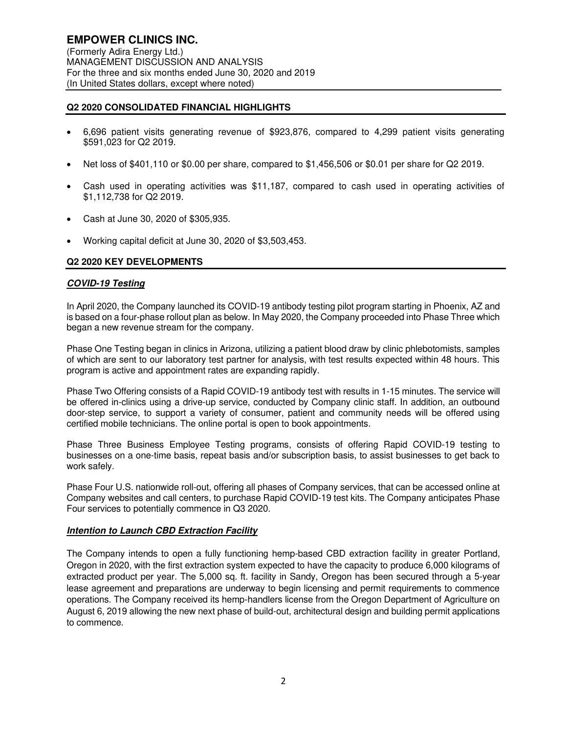### **Q2 2020 CONSOLIDATED FINANCIAL HIGHLIGHTS**

- 6,696 patient visits generating revenue of \$923,876, compared to 4,299 patient visits generating \$591,023 for Q2 2019.
- Net loss of \$401,110 or \$0.00 per share, compared to \$1,456,506 or \$0.01 per share for Q2 2019.
- Cash used in operating activities was \$11,187, compared to cash used in operating activities of \$1,112,738 for Q2 2019.
- Cash at June 30, 2020 of \$305,935.
- Working capital deficit at June 30, 2020 of \$3,503,453.

### **Q2 2020 KEY DEVELOPMENTS**

#### **COVID-19 Testing**

In April 2020, the Company launched its COVID-19 antibody testing pilot program starting in Phoenix, AZ and is based on a four-phase rollout plan as below. In May 2020, the Company proceeded into Phase Three which began a new revenue stream for the company.

Phase One Testing began in clinics in Arizona, utilizing a patient blood draw by clinic phlebotomists, samples of which are sent to our laboratory test partner for analysis, with test results expected within 48 hours. This program is active and appointment rates are expanding rapidly.

Phase Two Offering consists of a Rapid COVID-19 antibody test with results in 1-15 minutes. The service will be offered in-clinics using a drive-up service, conducted by Company clinic staff. In addition, an outbound door-step service, to support a variety of consumer, patient and community needs will be offered using certified mobile technicians. The online portal is open to book appointments.

Phase Three Business Employee Testing programs, consists of offering Rapid COVID-19 testing to businesses on a one-time basis, repeat basis and/or subscription basis, to assist businesses to get back to work safely.

Phase Four U.S. nationwide roll-out, offering all phases of Company services, that can be accessed online at Company websites and call centers, to purchase Rapid COVID-19 test kits. The Company anticipates Phase Four services to potentially commence in Q3 2020.

#### **Intention to Launch CBD Extraction Facility**

The Company intends to open a fully functioning hemp-based CBD extraction facility in greater Portland, Oregon in 2020, with the first extraction system expected to have the capacity to produce 6,000 kilograms of extracted product per year. The 5,000 sq. ft. facility in Sandy, Oregon has been secured through a 5-year lease agreement and preparations are underway to begin licensing and permit requirements to commence operations. The Company received its hemp-handlers license from the Oregon Department of Agriculture on August 6, 2019 allowing the new next phase of build-out, architectural design and building permit applications to commence.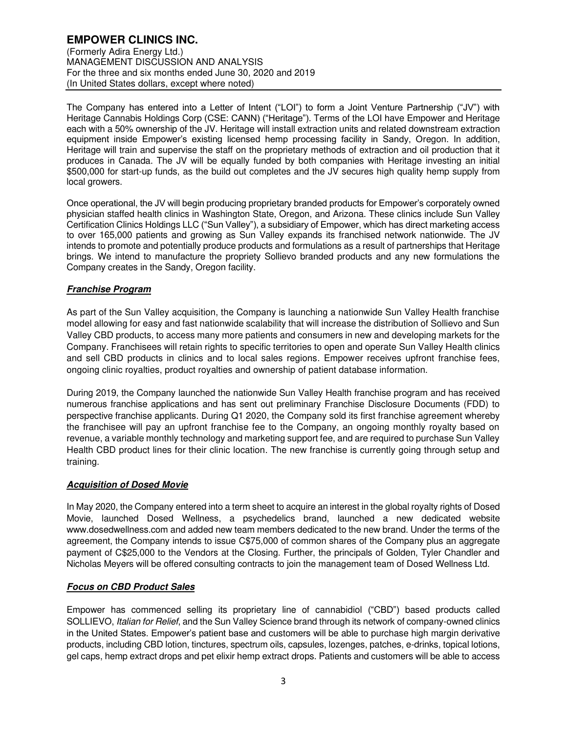# **EMPOWER CLINICS INC.**

(Formerly Adira Energy Ltd.) MANAGEMENT DISCUSSION AND ANALYSIS For the three and six months ended June 30, 2020 and 2019 (In United States dollars, except where noted)

The Company has entered into a Letter of Intent ("LOI") to form a Joint Venture Partnership ("JV") with Heritage Cannabis Holdings Corp (CSE: CANN) ("Heritage"). Terms of the LOI have Empower and Heritage each with a 50% ownership of the JV. Heritage will install extraction units and related downstream extraction equipment inside Empower's existing licensed hemp processing facility in Sandy, Oregon. In addition, Heritage will train and supervise the staff on the proprietary methods of extraction and oil production that it produces in Canada. The JV will be equally funded by both companies with Heritage investing an initial \$500,000 for start-up funds, as the build out completes and the JV secures high quality hemp supply from local growers.

Once operational, the JV will begin producing proprietary branded products for Empower's corporately owned physician staffed health clinics in Washington State, Oregon, and Arizona. These clinics include Sun Valley Certification Clinics Holdings LLC ("Sun Valley"), a subsidiary of Empower, which has direct marketing access to over 165,000 patients and growing as Sun Valley expands its franchised network nationwide. The JV intends to promote and potentially produce products and formulations as a result of partnerships that Heritage brings. We intend to manufacture the propriety Sollievo branded products and any new formulations the Company creates in the Sandy, Oregon facility.

# **Franchise Program**

As part of the Sun Valley acquisition, the Company is launching a nationwide Sun Valley Health franchise model allowing for easy and fast nationwide scalability that will increase the distribution of Sollievo and Sun Valley CBD products, to access many more patients and consumers in new and developing markets for the Company. Franchisees will retain rights to specific territories to open and operate Sun Valley Health clinics and sell CBD products in clinics and to local sales regions. Empower receives upfront franchise fees, ongoing clinic royalties, product royalties and ownership of patient database information.

During 2019, the Company launched the nationwide Sun Valley Health franchise program and has received numerous franchise applications and has sent out preliminary Franchise Disclosure Documents (FDD) to perspective franchise applicants. During Q1 2020, the Company sold its first franchise agreement whereby the franchisee will pay an upfront franchise fee to the Company, an ongoing monthly royalty based on revenue, a variable monthly technology and marketing support fee, and are required to purchase Sun Valley Health CBD product lines for their clinic location. The new franchise is currently going through setup and training.

# **Acquisition of Dosed Movie**

In May 2020, the Company entered into a term sheet to acquire an interest in the global royalty rights of Dosed Movie, launched Dosed Wellness, a psychedelics brand, launched a new dedicated website www.dosedwellness.com and added new team members dedicated to the new brand. Under the terms of the agreement, the Company intends to issue C\$75,000 of common shares of the Company plus an aggregate payment of C\$25,000 to the Vendors at the Closing. Further, the principals of Golden, Tyler Chandler and Nicholas Meyers will be offered consulting contracts to join the management team of Dosed Wellness Ltd.

# **Focus on CBD Product Sales**

Empower has commenced selling its proprietary line of cannabidiol ("CBD") based products called SOLLIEVO, Italian for Relief, and the Sun Valley Science brand through its network of company-owned clinics in the United States. Empower's patient base and customers will be able to purchase high margin derivative products, including CBD lotion, tinctures, spectrum oils, capsules, lozenges, patches, e-drinks, topical lotions, gel caps, hemp extract drops and pet elixir hemp extract drops. Patients and customers will be able to access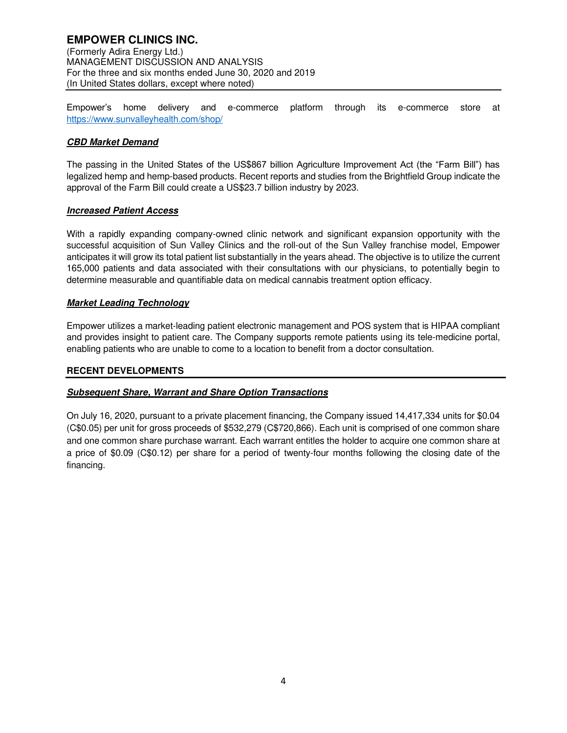Empower's home delivery and e-commerce platform through its e-commerce store at <https://www.sunvalleyhealth.com/shop/>

# **CBD Market Demand**

The passing in the United States of the US\$867 billion Agriculture Improvement Act (the "Farm Bill") has legalized hemp and hemp-based products. Recent reports and studies from the Brightfield Group indicate the approval of the Farm Bill could create a US\$23.7 billion industry by 2023.

### **Increased Patient Access**

With a rapidly expanding company-owned clinic network and significant expansion opportunity with the successful acquisition of Sun Valley Clinics and the roll-out of the Sun Valley franchise model, Empower anticipates it will grow its total patient list substantially in the years ahead. The objective is to utilize the current 165,000 patients and data associated with their consultations with our physicians, to potentially begin to determine measurable and quantifiable data on medical cannabis treatment option efficacy.

# **Market Leading Technology**

Empower utilizes a market-leading patient electronic management and POS system that is HIPAA compliant and provides insight to patient care. The Company supports remote patients using its tele-medicine portal, enabling patients who are unable to come to a location to benefit from a doctor consultation.

#### **RECENT DEVELOPMENTS**

# **Subsequent Share, Warrant and Share Option Transactions**

On July 16, 2020, pursuant to a private placement financing, the Company issued 14,417,334 units for \$0.04 (C\$0.05) per unit for gross proceeds of \$532,279 (C\$720,866). Each unit is comprised of one common share and one common share purchase warrant. Each warrant entitles the holder to acquire one common share at a price of \$0.09 (C\$0.12) per share for a period of twenty-four months following the closing date of the financing.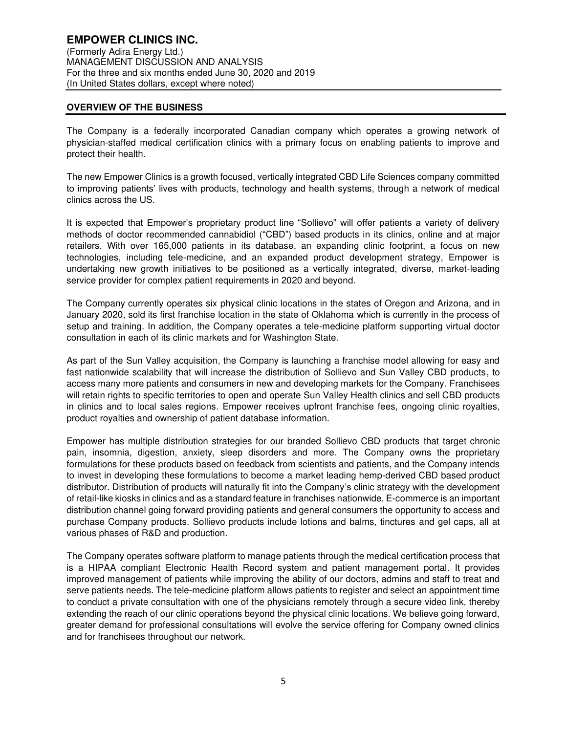### **OVERVIEW OF THE BUSINESS**

The Company is a federally incorporated Canadian company which operates a growing network of physician-staffed medical certification clinics with a primary focus on enabling patients to improve and protect their health.

The new Empower Clinics is a growth focused, vertically integrated CBD Life Sciences company committed to improving patients' lives with products, technology and health systems, through a network of medical clinics across the US.

It is expected that Empower's proprietary product line "Sollievo" will offer patients a variety of delivery methods of doctor recommended cannabidiol ("CBD") based products in its clinics, online and at major retailers. With over 165,000 patients in its database, an expanding clinic footprint, a focus on new technologies, including tele-medicine, and an expanded product development strategy, Empower is undertaking new growth initiatives to be positioned as a vertically integrated, diverse, market-leading service provider for complex patient requirements in 2020 and beyond.

The Company currently operates six physical clinic locations in the states of Oregon and Arizona, and in January 2020, sold its first franchise location in the state of Oklahoma which is currently in the process of setup and training. In addition, the Company operates a tele-medicine platform supporting virtual doctor consultation in each of its clinic markets and for Washington State.

As part of the Sun Valley acquisition, the Company is launching a franchise model allowing for easy and fast nationwide scalability that will increase the distribution of Sollievo and Sun Valley CBD products, to access many more patients and consumers in new and developing markets for the Company. Franchisees will retain rights to specific territories to open and operate Sun Valley Health clinics and sell CBD products in clinics and to local sales regions. Empower receives upfront franchise fees, ongoing clinic royalties, product royalties and ownership of patient database information.

Empower has multiple distribution strategies for our branded Sollievo CBD products that target chronic pain, insomnia, digestion, anxiety, sleep disorders and more. The Company owns the proprietary formulations for these products based on feedback from scientists and patients, and the Company intends to invest in developing these formulations to become a market leading hemp-derived CBD based product distributor. Distribution of products will naturally fit into the Company's clinic strategy with the development of retail-like kiosks in clinics and as a standard feature in franchises nationwide. E-commerce is an important distribution channel going forward providing patients and general consumers the opportunity to access and purchase Company products. Sollievo products include lotions and balms, tinctures and gel caps, all at various phases of R&D and production.

The Company operates software platform to manage patients through the medical certification process that is a HIPAA compliant Electronic Health Record system and patient management portal. It provides improved management of patients while improving the ability of our doctors, admins and staff to treat and serve patients needs. The tele-medicine platform allows patients to register and select an appointment time to conduct a private consultation with one of the physicians remotely through a secure video link, thereby extending the reach of our clinic operations beyond the physical clinic locations. We believe going forward, greater demand for professional consultations will evolve the service offering for Company owned clinics and for franchisees throughout our network.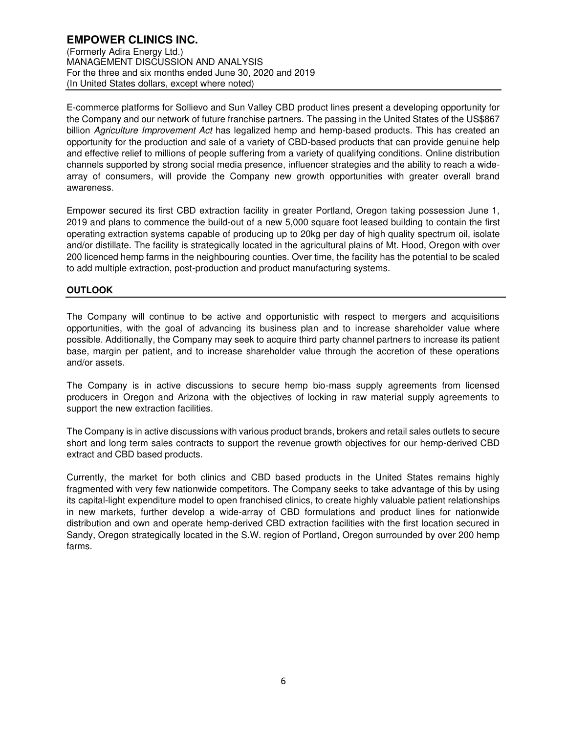E-commerce platforms for Sollievo and Sun Valley CBD product lines present a developing opportunity for the Company and our network of future franchise partners. The passing in the United States of the US\$867 billion Agriculture Improvement Act has legalized hemp and hemp-based products. This has created an opportunity for the production and sale of a variety of CBD-based products that can provide genuine help and effective relief to millions of people suffering from a variety of qualifying conditions. Online distribution channels supported by strong social media presence, influencer strategies and the ability to reach a widearray of consumers, will provide the Company new growth opportunities with greater overall brand awareness.

Empower secured its first CBD extraction facility in greater Portland, Oregon taking possession June 1, 2019 and plans to commence the build-out of a new 5,000 square foot leased building to contain the first operating extraction systems capable of producing up to 20kg per day of high quality spectrum oil, isolate and/or distillate. The facility is strategically located in the agricultural plains of Mt. Hood, Oregon with over 200 licenced hemp farms in the neighbouring counties. Over time, the facility has the potential to be scaled to add multiple extraction, post-production and product manufacturing systems.

# **OUTLOOK**

The Company will continue to be active and opportunistic with respect to mergers and acquisitions opportunities, with the goal of advancing its business plan and to increase shareholder value where possible. Additionally, the Company may seek to acquire third party channel partners to increase its patient base, margin per patient, and to increase shareholder value through the accretion of these operations and/or assets.

The Company is in active discussions to secure hemp bio-mass supply agreements from licensed producers in Oregon and Arizona with the objectives of locking in raw material supply agreements to support the new extraction facilities.

The Company is in active discussions with various product brands, brokers and retail sales outlets to secure short and long term sales contracts to support the revenue growth objectives for our hemp-derived CBD extract and CBD based products.

Currently, the market for both clinics and CBD based products in the United States remains highly fragmented with very few nationwide competitors. The Company seeks to take advantage of this by using its capital-light expenditure model to open franchised clinics, to create highly valuable patient relationships in new markets, further develop a wide-array of CBD formulations and product lines for nationwide distribution and own and operate hemp-derived CBD extraction facilities with the first location secured in Sandy, Oregon strategically located in the S.W. region of Portland, Oregon surrounded by over 200 hemp farms.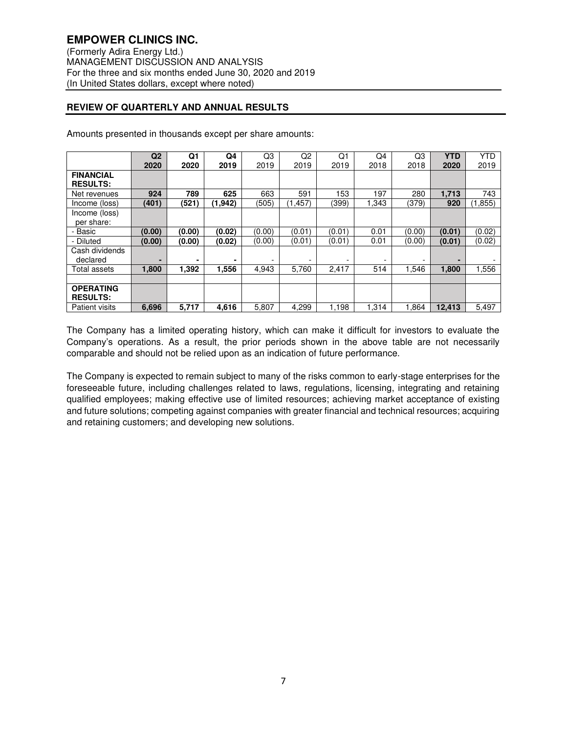# **REVIEW OF QUARTERLY AND ANNUAL RESULTS**

|                                     | Q <sub>2</sub> | Q <sub>1</sub> | Q4       | Q3     | Q <sub>2</sub> | Q1     | Q4    | Q3     | <b>YTD</b> | <b>YTD</b> |
|-------------------------------------|----------------|----------------|----------|--------|----------------|--------|-------|--------|------------|------------|
|                                     | 2020           | 2020           | 2019     | 2019   | 2019           | 2019   | 2018  | 2018   | 2020       | 2019       |
| <b>FINANCIAL</b><br><b>RESULTS:</b> |                |                |          |        |                |        |       |        |            |            |
| Net revenues                        | 924            | 789            | 625      | 663    | 591            | 153    | 197   | 280    | 1,713      | 743        |
| Income (loss)                       | (401)          | (521)          | (1, 942) | (505)  | (1, 457)       | (399)  | 1,343 | (379)  | 920        | (1,855)    |
| Income (loss)<br>per share:         |                |                |          |        |                |        |       |        |            |            |
| - Basic                             | (0.00)         | (0.00)         | (0.02)   | (0.00) | (0.01)         | (0.01) | 0.01  | (0.00) | (0.01)     | (0.02)     |
| - Diluted                           | (0.00)         | (0.00)         | (0.02)   | (0.00) | (0.01)         | (0.01) | 0.01  | (0.00) | (0.01)     | (0.02)     |
| Cash dividends<br>declared          |                | ٠              |          |        |                | -      |       | ۰      |            |            |
| Total assets                        | 1.800          | 1,392          | 1.556    | 4.943  | 5.760          | 2.417  | 514   | 1,546  | 1,800      | 1,556      |
|                                     |                |                |          |        |                |        |       |        |            |            |
| <b>OPERATING</b><br><b>RESULTS:</b> |                |                |          |        |                |        |       |        |            |            |
| Patient visits                      | 6,696          | 5,717          | 4,616    | 5,807  | 4,299          | 1,198  | 1,314 | 1.864  | 12,413     | 5,497      |

Amounts presented in thousands except per share amounts:

The Company has a limited operating history, which can make it difficult for investors to evaluate the Company's operations. As a result, the prior periods shown in the above table are not necessarily comparable and should not be relied upon as an indication of future performance.

The Company is expected to remain subject to many of the risks common to early-stage enterprises for the foreseeable future, including challenges related to laws, regulations, licensing, integrating and retaining qualified employees; making effective use of limited resources; achieving market acceptance of existing and future solutions; competing against companies with greater financial and technical resources; acquiring and retaining customers; and developing new solutions.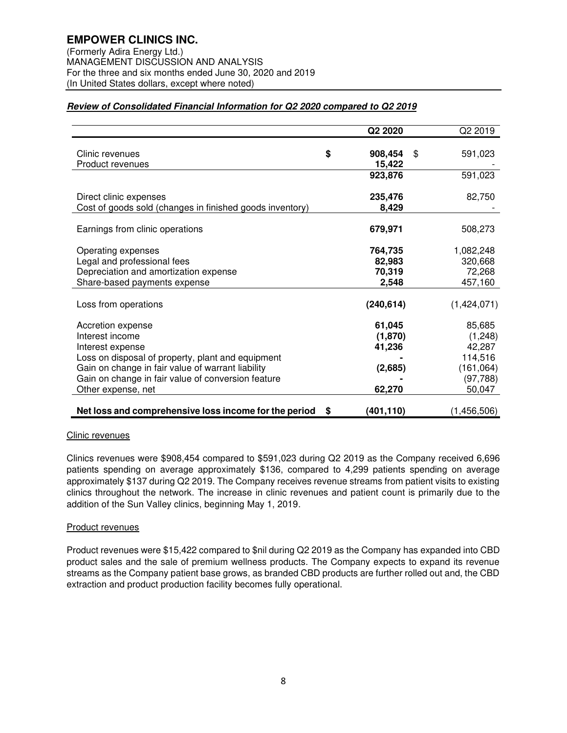### **Review of Consolidated Financial Information for Q2 2020 compared to Q2 2019**

|                                                          | Q2 2020          | Q2 2019       |
|----------------------------------------------------------|------------------|---------------|
|                                                          |                  |               |
| Clinic revenues                                          | \$<br>908,454    | \$<br>591,023 |
| Product revenues                                         | 15,422           |               |
|                                                          | 923,876          | 591,023       |
|                                                          |                  |               |
| Direct clinic expenses                                   | 235,476          | 82,750        |
| Cost of goods sold (changes in finished goods inventory) | 8,429            |               |
|                                                          |                  |               |
| Earnings from clinic operations                          | 679,971          | 508,273       |
|                                                          |                  |               |
| Operating expenses                                       | 764,735          | 1,082,248     |
| Legal and professional fees                              | 82,983           | 320,668       |
| Depreciation and amortization expense                    | 70,319           | 72,268        |
|                                                          |                  |               |
| Share-based payments expense                             | 2,548            | 457,160       |
|                                                          |                  |               |
| Loss from operations                                     | (240, 614)       | (1,424,071)   |
|                                                          |                  |               |
| Accretion expense                                        | 61,045           | 85,685        |
| Interest income                                          | (1,870)          | (1,248)       |
| Interest expense                                         | 41,236           | 42,287        |
| Loss on disposal of property, plant and equipment        |                  | 114,516       |
| Gain on change in fair value of warrant liability        | (2,685)          | (161, 064)    |
| Gain on change in fair value of conversion feature       |                  | (97, 788)     |
| Other expense, net                                       | 62,270           | 50,047        |
|                                                          |                  |               |
| Net loss and comprehensive loss income for the period    | \$<br>(401, 110) | (1,456,506)   |

#### Clinic revenues

Clinics revenues were \$908,454 compared to \$591,023 during Q2 2019 as the Company received 6,696 patients spending on average approximately \$136, compared to 4,299 patients spending on average approximately \$137 during Q2 2019. The Company receives revenue streams from patient visits to existing clinics throughout the network. The increase in clinic revenues and patient count is primarily due to the addition of the Sun Valley clinics, beginning May 1, 2019.

# Product revenues

Product revenues were \$15,422 compared to \$nil during Q2 2019 as the Company has expanded into CBD product sales and the sale of premium wellness products. The Company expects to expand its revenue streams as the Company patient base grows, as branded CBD products are further rolled out and, the CBD extraction and product production facility becomes fully operational.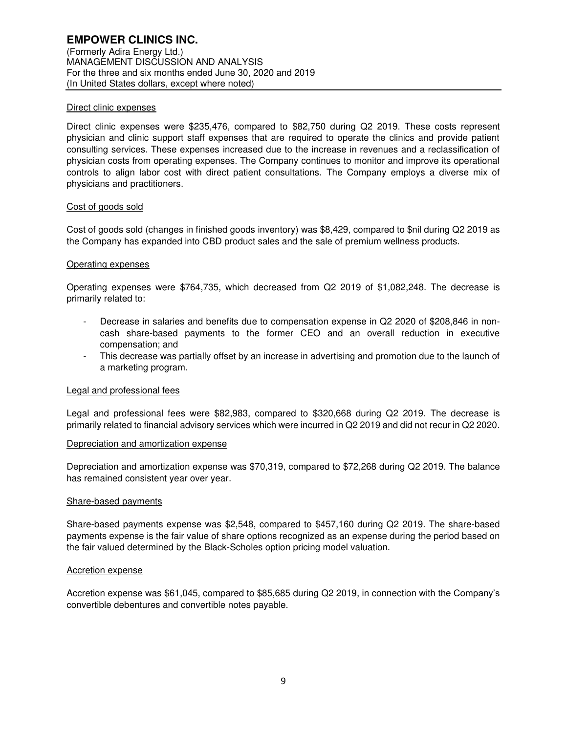#### Direct clinic expenses

Direct clinic expenses were \$235,476, compared to \$82,750 during Q2 2019. These costs represent physician and clinic support staff expenses that are required to operate the clinics and provide patient consulting services. These expenses increased due to the increase in revenues and a reclassification of physician costs from operating expenses. The Company continues to monitor and improve its operational controls to align labor cost with direct patient consultations. The Company employs a diverse mix of physicians and practitioners.

#### Cost of goods sold

Cost of goods sold (changes in finished goods inventory) was \$8,429, compared to \$nil during Q2 2019 as the Company has expanded into CBD product sales and the sale of premium wellness products.

#### Operating expenses

Operating expenses were \$764,735, which decreased from Q2 2019 of \$1,082,248. The decrease is primarily related to:

- Decrease in salaries and benefits due to compensation expense in Q2 2020 of \$208,846 in noncash share-based payments to the former CEO and an overall reduction in executive compensation; and
- This decrease was partially offset by an increase in advertising and promotion due to the launch of a marketing program.

#### Legal and professional fees

Legal and professional fees were \$82,983, compared to \$320,668 during Q2 2019. The decrease is primarily related to financial advisory services which were incurred in Q2 2019 and did not recur in Q2 2020.

#### Depreciation and amortization expense

Depreciation and amortization expense was \$70,319, compared to \$72,268 during Q2 2019. The balance has remained consistent year over year.

#### Share-based payments

Share-based payments expense was \$2,548, compared to \$457,160 during Q2 2019. The share-based payments expense is the fair value of share options recognized as an expense during the period based on the fair valued determined by the Black-Scholes option pricing model valuation.

#### Accretion expense

Accretion expense was \$61,045, compared to \$85,685 during Q2 2019, in connection with the Company's convertible debentures and convertible notes payable.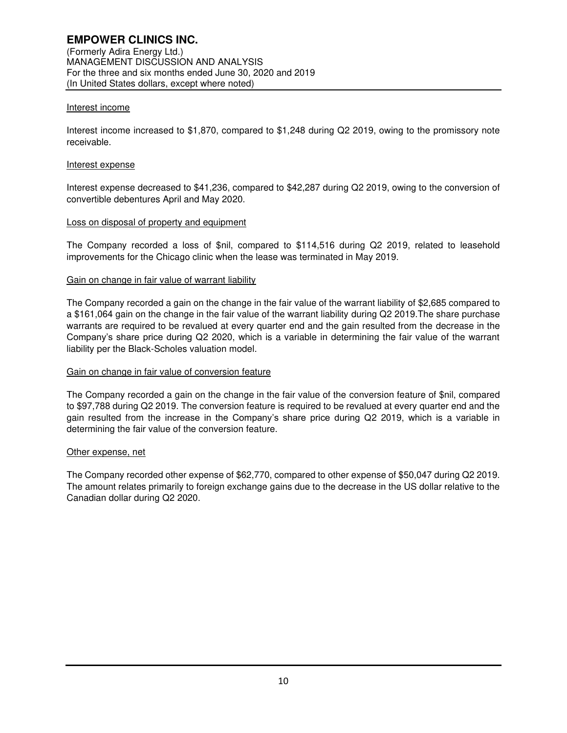#### Interest income

Interest income increased to \$1,870, compared to \$1,248 during Q2 2019, owing to the promissory note receivable.

#### Interest expense

Interest expense decreased to \$41,236, compared to \$42,287 during Q2 2019, owing to the conversion of convertible debentures April and May 2020.

#### Loss on disposal of property and equipment

The Company recorded a loss of \$nil, compared to \$114,516 during Q2 2019, related to leasehold improvements for the Chicago clinic when the lease was terminated in May 2019.

#### Gain on change in fair value of warrant liability

The Company recorded a gain on the change in the fair value of the warrant liability of \$2,685 compared to a \$161,064 gain on the change in the fair value of the warrant liability during Q2 2019.The share purchase warrants are required to be revalued at every quarter end and the gain resulted from the decrease in the Company's share price during Q2 2020, which is a variable in determining the fair value of the warrant liability per the Black-Scholes valuation model.

#### Gain on change in fair value of conversion feature

The Company recorded a gain on the change in the fair value of the conversion feature of \$nil, compared to \$97,788 during Q2 2019. The conversion feature is required to be revalued at every quarter end and the gain resulted from the increase in the Company's share price during Q2 2019, which is a variable in determining the fair value of the conversion feature.

#### Other expense, net

The Company recorded other expense of \$62,770, compared to other expense of \$50,047 during Q2 2019. The amount relates primarily to foreign exchange gains due to the decrease in the US dollar relative to the Canadian dollar during Q2 2020.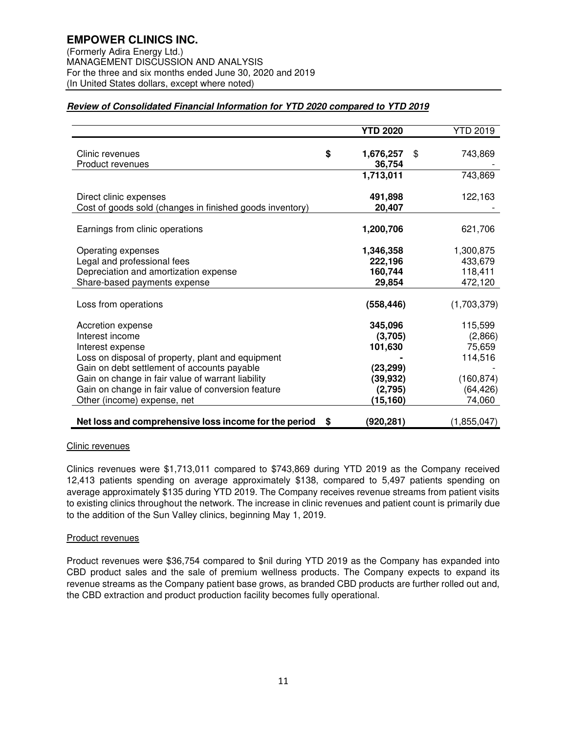### **Review of Consolidated Financial Information for YTD 2020 compared to YTD 2019**

|                                                          | <b>YTD 2020</b> | <b>YTD 2019</b> |
|----------------------------------------------------------|-----------------|-----------------|
|                                                          |                 |                 |
| Clinic revenues                                          | \$<br>1,676,257 | \$<br>743,869   |
| <b>Product revenues</b>                                  | 36,754          |                 |
|                                                          | 1,713,011       | 743,869         |
|                                                          |                 |                 |
| Direct clinic expenses                                   | 491,898         | 122,163         |
| Cost of goods sold (changes in finished goods inventory) | 20,407          |                 |
|                                                          |                 |                 |
| Earnings from clinic operations                          | 1,200,706       | 621,706         |
|                                                          |                 |                 |
| Operating expenses                                       | 1,346,358       | 1,300,875       |
| Legal and professional fees                              | 222,196         | 433,679         |
| Depreciation and amortization expense                    | 160,744         | 118,411         |
| Share-based payments expense                             | 29,854          | 472,120         |
|                                                          |                 |                 |
| Loss from operations                                     | (558, 446)      | (1,703,379)     |
|                                                          |                 |                 |
| Accretion expense                                        | 345,096         | 115,599         |
| Interest income                                          | (3,705)         | (2,866)         |
| Interest expense                                         | 101,630         | 75,659          |
| Loss on disposal of property, plant and equipment        |                 | 114,516         |
| Gain on debt settlement of accounts payable              | (23, 299)       |                 |
| Gain on change in fair value of warrant liability        | (39, 932)       | (160, 874)      |
| Gain on change in fair value of conversion feature       | (2,795)         | (64, 426)       |
| Other (income) expense, net                              | (15,160)        | 74,060          |
|                                                          |                 |                 |
| Net loss and comprehensive loss income for the period    | \$<br>(920,281) | (1,855,047)     |

#### Clinic revenues

Clinics revenues were \$1,713,011 compared to \$743,869 during YTD 2019 as the Company received 12,413 patients spending on average approximately \$138, compared to 5,497 patients spending on average approximately \$135 during YTD 2019. The Company receives revenue streams from patient visits to existing clinics throughout the network. The increase in clinic revenues and patient count is primarily due to the addition of the Sun Valley clinics, beginning May 1, 2019.

#### Product revenues

Product revenues were \$36,754 compared to \$nil during YTD 2019 as the Company has expanded into CBD product sales and the sale of premium wellness products. The Company expects to expand its revenue streams as the Company patient base grows, as branded CBD products are further rolled out and, the CBD extraction and product production facility becomes fully operational.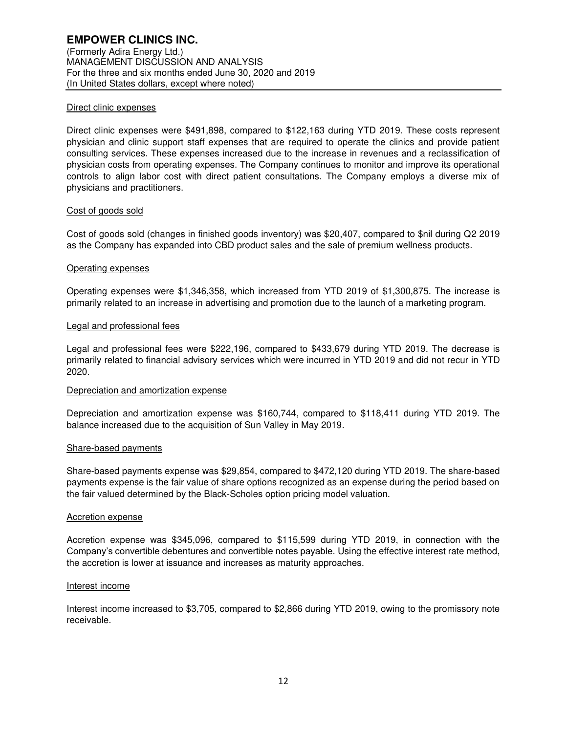#### Direct clinic expenses

Direct clinic expenses were \$491,898, compared to \$122,163 during YTD 2019. These costs represent physician and clinic support staff expenses that are required to operate the clinics and provide patient consulting services. These expenses increased due to the increase in revenues and a reclassification of physician costs from operating expenses. The Company continues to monitor and improve its operational controls to align labor cost with direct patient consultations. The Company employs a diverse mix of physicians and practitioners.

#### Cost of goods sold

Cost of goods sold (changes in finished goods inventory) was \$20,407, compared to \$nil during Q2 2019 as the Company has expanded into CBD product sales and the sale of premium wellness products.

#### Operating expenses

Operating expenses were \$1,346,358, which increased from YTD 2019 of \$1,300,875. The increase is primarily related to an increase in advertising and promotion due to the launch of a marketing program.

#### Legal and professional fees

Legal and professional fees were \$222,196, compared to \$433,679 during YTD 2019. The decrease is primarily related to financial advisory services which were incurred in YTD 2019 and did not recur in YTD 2020.

#### Depreciation and amortization expense

Depreciation and amortization expense was \$160,744, compared to \$118,411 during YTD 2019. The balance increased due to the acquisition of Sun Valley in May 2019.

#### Share-based payments

Share-based payments expense was \$29,854, compared to \$472,120 during YTD 2019. The share-based payments expense is the fair value of share options recognized as an expense during the period based on the fair valued determined by the Black-Scholes option pricing model valuation.

#### Accretion expense

Accretion expense was \$345,096, compared to \$115,599 during YTD 2019, in connection with the Company's convertible debentures and convertible notes payable. Using the effective interest rate method, the accretion is lower at issuance and increases as maturity approaches.

#### Interest income

Interest income increased to \$3,705, compared to \$2,866 during YTD 2019, owing to the promissory note receivable.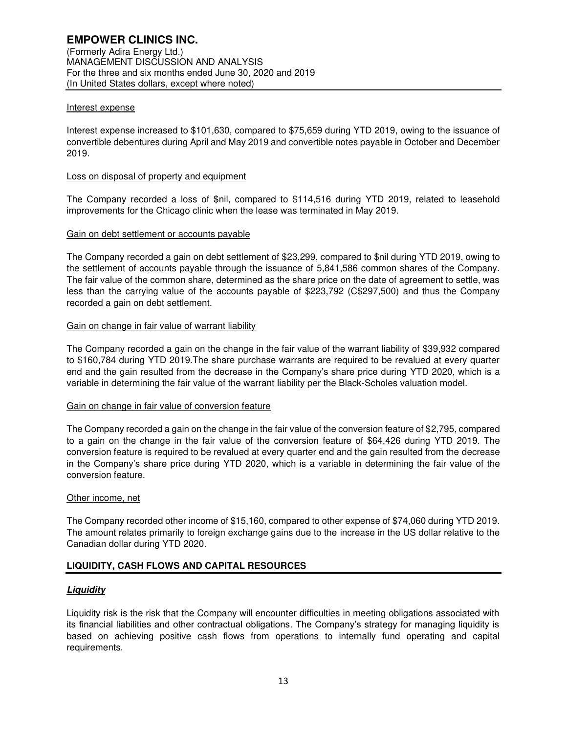#### Interest expense

Interest expense increased to \$101,630, compared to \$75,659 during YTD 2019, owing to the issuance of convertible debentures during April and May 2019 and convertible notes payable in October and December 2019.

#### Loss on disposal of property and equipment

The Company recorded a loss of \$nil, compared to \$114,516 during YTD 2019, related to leasehold improvements for the Chicago clinic when the lease was terminated in May 2019.

#### Gain on debt settlement or accounts payable

The Company recorded a gain on debt settlement of \$23,299, compared to \$nil during YTD 2019, owing to the settlement of accounts payable through the issuance of 5,841,586 common shares of the Company. The fair value of the common share, determined as the share price on the date of agreement to settle, was less than the carrying value of the accounts payable of \$223,792 (C\$297,500) and thus the Company recorded a gain on debt settlement.

#### Gain on change in fair value of warrant liability

The Company recorded a gain on the change in the fair value of the warrant liability of \$39,932 compared to \$160,784 during YTD 2019.The share purchase warrants are required to be revalued at every quarter end and the gain resulted from the decrease in the Company's share price during YTD 2020, which is a variable in determining the fair value of the warrant liability per the Black-Scholes valuation model.

#### Gain on change in fair value of conversion feature

The Company recorded a gain on the change in the fair value of the conversion feature of \$2,795, compared to a gain on the change in the fair value of the conversion feature of \$64,426 during YTD 2019. The conversion feature is required to be revalued at every quarter end and the gain resulted from the decrease in the Company's share price during YTD 2020, which is a variable in determining the fair value of the conversion feature.

#### Other income, net

The Company recorded other income of \$15,160, compared to other expense of \$74,060 during YTD 2019. The amount relates primarily to foreign exchange gains due to the increase in the US dollar relative to the Canadian dollar during YTD 2020.

#### **LIQUIDITY, CASH FLOWS AND CAPITAL RESOURCES**

#### **Liquidity**

Liquidity risk is the risk that the Company will encounter difficulties in meeting obligations associated with its financial liabilities and other contractual obligations. The Company's strategy for managing liquidity is based on achieving positive cash flows from operations to internally fund operating and capital requirements.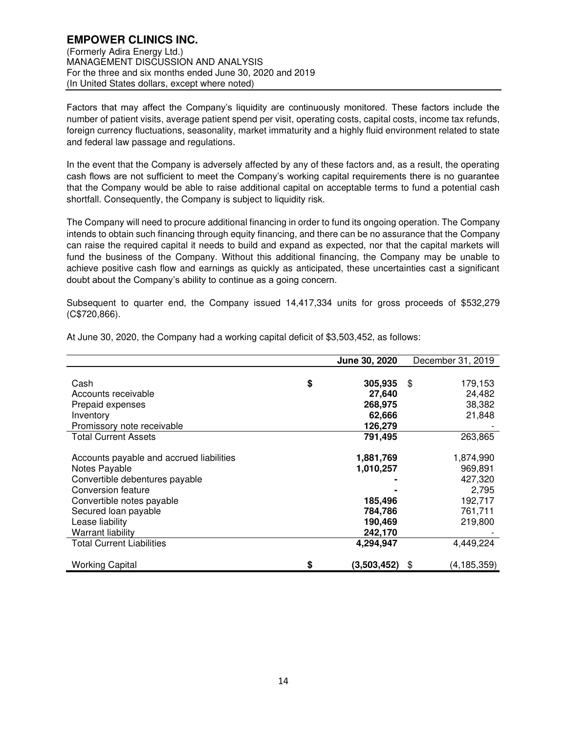#### **EMPOWER CLINICS INC.**  (Formerly Adira Energy Ltd.) MANAGEMENT DISCUSSION AND ANALYSIS For the three and six months ended June 30, 2020 and 2019 (In United States dollars, except where noted)

Factors that may affect the Company's liquidity are continuously monitored. These factors include the number of patient visits, average patient spend per visit, operating costs, capital costs, income tax refunds, foreign currency fluctuations, seasonality, market immaturity and a highly fluid environment related to state and federal law passage and regulations.

In the event that the Company is adversely affected by any of these factors and, as a result, the operating cash flows are not sufficient to meet the Company's working capital requirements there is no guarantee that the Company would be able to raise additional capital on acceptable terms to fund a potential cash shortfall. Consequently, the Company is subject to liquidity risk.

The Company will need to procure additional financing in order to fund its ongoing operation. The Company intends to obtain such financing through equity financing, and there can be no assurance that the Company can raise the required capital it needs to build and expand as expected, nor that the capital markets will fund the business of the Company. Without this additional financing, the Company may be unable to achieve positive cash flow and earnings as quickly as anticipated, these uncertainties cast a significant doubt about the Company's ability to continue as a going concern.

Subsequent to quarter end, the Company issued 14,417,334 units for gross proceeds of \$532,279 (C\$720,866).

|                                          | June 30, 2020     | December 31, 2019 |
|------------------------------------------|-------------------|-------------------|
|                                          |                   |                   |
| Cash                                     | \$<br>305,935     | 179,153<br>\$     |
| Accounts receivable                      | 27,640            | 24,482            |
| Prepaid expenses                         | 268,975           | 38,382            |
| Inventory                                | 62,666            | 21,848            |
| Promissory note receivable               | 126,279           |                   |
| <b>Total Current Assets</b>              | 791,495           | 263,865           |
|                                          |                   |                   |
| Accounts payable and accrued liabilities | 1,881,769         | 1,874,990         |
| Notes Payable                            | 1,010,257         | 969,891           |
| Convertible debentures payable           |                   | 427,320           |
| Conversion feature                       |                   | 2,795             |
| Convertible notes payable                | 185,496           | 192,717           |
| Secured loan payable                     | 784,786           | 761,711           |
| Lease liability                          | 190,469           | 219,800           |
| <b>Warrant liability</b>                 | 242,170           |                   |
| <b>Total Current Liabilities</b>         | 4,294,947         | 4,449,224         |
|                                          |                   |                   |
| <b>Working Capital</b>                   | \$<br>(3,503,452) | (4,185,359)<br>\$ |

At June 30, 2020, the Company had a working capital deficit of \$3,503,452, as follows: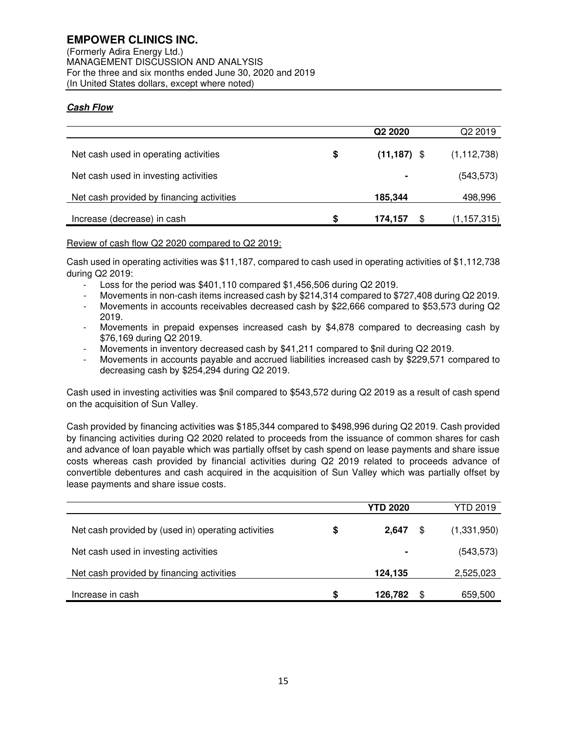# **Cash Flow**

|                                           |    | Q <sub>2</sub> 2020 | Q <sub>2</sub> 2019 |
|-------------------------------------------|----|---------------------|---------------------|
| Net cash used in operating activities     | \$ | $(11, 187)$ \$      | (1, 112, 738)       |
| Net cash used in investing activities     |    | ۰                   | (543, 573)          |
| Net cash provided by financing activities |    | 185,344             | 498,996             |
| Increase (decrease) in cash               | S  | 174,157             | (1,157,315)         |

#### Review of cash flow Q2 2020 compared to Q2 2019:

Cash used in operating activities was \$11,187, compared to cash used in operating activities of \$1,112,738 during Q2 2019:

- Loss for the period was \$401,110 compared \$1,456,506 during Q2 2019.
- Movements in non-cash items increased cash by \$214,314 compared to \$727,408 during Q2 2019.
- Movements in accounts receivables decreased cash by \$22,666 compared to \$53,573 during Q2 2019.
- Movements in prepaid expenses increased cash by \$4,878 compared to decreasing cash by \$76,169 during Q2 2019.
- Movements in inventory decreased cash by \$41,211 compared to \$nil during Q2 2019.
- Movements in accounts payable and accrued liabilities increased cash by \$229,571 compared to decreasing cash by \$254,294 during Q2 2019.

Cash used in investing activities was \$nil compared to \$543,572 during Q2 2019 as a result of cash spend on the acquisition of Sun Valley.

Cash provided by financing activities was \$185,344 compared to \$498,996 during Q2 2019. Cash provided by financing activities during Q2 2020 related to proceeds from the issuance of common shares for cash and advance of loan payable which was partially offset by cash spend on lease payments and share issue costs whereas cash provided by financial activities during Q2 2019 related to proceeds advance of convertible debentures and cash acquired in the acquisition of Sun Valley which was partially offset by lease payments and share issue costs.

|                                                     |    | <b>YTD 2020</b> | YTD 2019          |
|-----------------------------------------------------|----|-----------------|-------------------|
| Net cash provided by (used in) operating activities | \$ | 2.647           | \$<br>(1,331,950) |
| Net cash used in investing activities               |    | ۰               | (543, 573)        |
| Net cash provided by financing activities           |    | 124,135         | 2,525,023         |
| Increase in cash                                    | S  | 126,782         | 659,500           |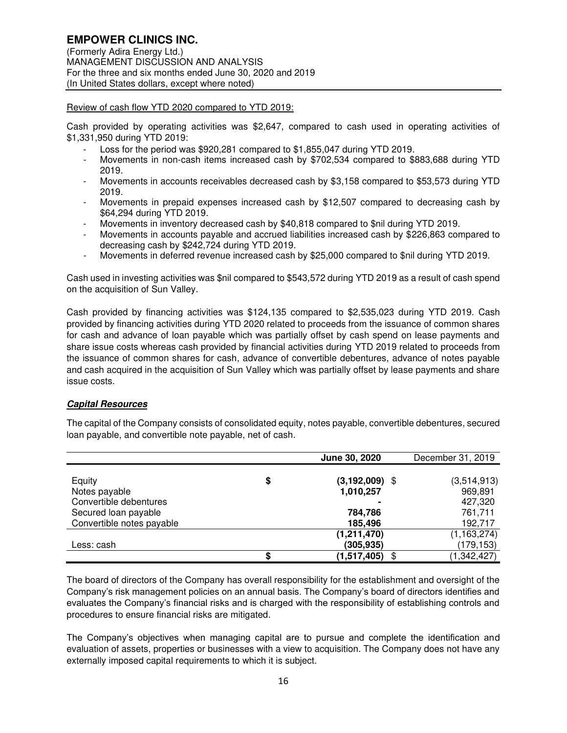(Formerly Adira Energy Ltd.) MANAGEMENT DISCUSSION AND ANALYSIS For the three and six months ended June 30, 2020 and 2019 (In United States dollars, except where noted)

## Review of cash flow YTD 2020 compared to YTD 2019:

Cash provided by operating activities was \$2,647, compared to cash used in operating activities of \$1,331,950 during YTD 2019:

- Loss for the period was \$920,281 compared to \$1,855,047 during YTD 2019.
- Movements in non-cash items increased cash by \$702,534 compared to \$883,688 during YTD 2019.
- Movements in accounts receivables decreased cash by \$3,158 compared to \$53,573 during YTD 2019.
- Movements in prepaid expenses increased cash by \$12,507 compared to decreasing cash by \$64,294 during YTD 2019.
- Movements in inventory decreased cash by \$40,818 compared to \$nil during YTD 2019.
- Movements in accounts payable and accrued liabilities increased cash by \$226,863 compared to decreasing cash by \$242,724 during YTD 2019.
- Movements in deferred revenue increased cash by \$25,000 compared to \$nil during YTD 2019.

Cash used in investing activities was \$nil compared to \$543,572 during YTD 2019 as a result of cash spend on the acquisition of Sun Valley.

Cash provided by financing activities was \$124,135 compared to \$2,535,023 during YTD 2019. Cash provided by financing activities during YTD 2020 related to proceeds from the issuance of common shares for cash and advance of loan payable which was partially offset by cash spend on lease payments and share issue costs whereas cash provided by financial activities during YTD 2019 related to proceeds from the issuance of common shares for cash, advance of convertible debentures, advance of notes payable and cash acquired in the acquisition of Sun Valley which was partially offset by lease payments and share issue costs.

# **Capital Resources**

The capital of the Company consists of consolidated equity, notes payable, convertible debentures, secured loan payable, and convertible note payable, net of cash.

|                           | June 30, 2020            | December 31, 2019 |
|---------------------------|--------------------------|-------------------|
|                           |                          |                   |
| Equity                    | \$<br>$(3, 192, 009)$ \$ | (3,514,913)       |
| Notes payable             | 1,010,257                | 969,891           |
| Convertible debentures    |                          | 427,320           |
| Secured loan payable      | 784,786                  | 761,711           |
| Convertible notes payable | 185,496                  | 192,717           |
|                           | (1, 211, 470)            | (1, 163, 274)     |
| Less: cash                | (305, 935)               | (179, 153)        |
|                           | (1,517,405)<br>\$        | (1,342,427)       |

The board of directors of the Company has overall responsibility for the establishment and oversight of the Company's risk management policies on an annual basis. The Company's board of directors identifies and evaluates the Company's financial risks and is charged with the responsibility of establishing controls and procedures to ensure financial risks are mitigated.

The Company's objectives when managing capital are to pursue and complete the identification and evaluation of assets, properties or businesses with a view to acquisition. The Company does not have any externally imposed capital requirements to which it is subject.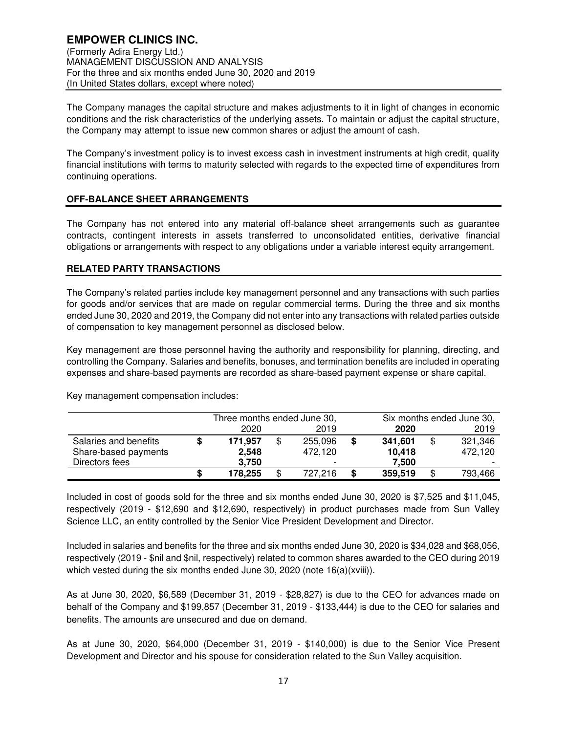The Company manages the capital structure and makes adjustments to it in light of changes in economic conditions and the risk characteristics of the underlying assets. To maintain or adjust the capital structure, the Company may attempt to issue new common shares or adjust the amount of cash.

The Company's investment policy is to invest excess cash in investment instruments at high credit, quality financial institutions with terms to maturity selected with regards to the expected time of expenditures from continuing operations.

### **OFF-BALANCE SHEET ARRANGEMENTS**

The Company has not entered into any material off-balance sheet arrangements such as guarantee contracts, contingent interests in assets transferred to unconsolidated entities, derivative financial obligations or arrangements with respect to any obligations under a variable interest equity arrangement.

### **RELATED PARTY TRANSACTIONS**

The Company's related parties include key management personnel and any transactions with such parties for goods and/or services that are made on regular commercial terms. During the three and six months ended June 30, 2020 and 2019, the Company did not enter into any transactions with related parties outside of compensation to key management personnel as disclosed below.

Key management are those personnel having the authority and responsibility for planning, directing, and controlling the Company. Salaries and benefits, bonuses, and termination benefits are included in operating expenses and share-based payments are recorded as share-based payment expense or share capital.

|                       | Three months ended June 30, |    |                          | Six months ended June 30, |         |  |         |
|-----------------------|-----------------------------|----|--------------------------|---------------------------|---------|--|---------|
|                       | 2020                        |    | 2019                     |                           | 2020    |  | 2019    |
| Salaries and benefits | 171.957                     | \$ | 255,096                  | S                         | 341,601 |  | 321,346 |
| Share-based payments  | 2.548                       |    | 472.120                  |                           | 10,418  |  | 472.120 |
| Directors fees        | 3.750                       |    | $\overline{\phantom{a}}$ |                           | 7.500   |  |         |
|                       | 178.255                     | \$ | 727.216                  | S                         | 359,519 |  | 793,466 |

Key management compensation includes:

Included in cost of goods sold for the three and six months ended June 30, 2020 is \$7,525 and \$11,045, respectively (2019 - \$12,690 and \$12,690, respectively) in product purchases made from Sun Valley Science LLC, an entity controlled by the Senior Vice President Development and Director.

Included in salaries and benefits for the three and six months ended June 30, 2020 is \$34,028 and \$68,056, respectively (2019 - \$nil and \$nil, respectively) related to common shares awarded to the CEO during 2019 which vested during the six months ended June 30, 2020 (note 16(a)(xviii)).

As at June 30, 2020, \$6,589 (December 31, 2019 - \$28,827) is due to the CEO for advances made on behalf of the Company and \$199,857 (December 31, 2019 - \$133,444) is due to the CEO for salaries and benefits. The amounts are unsecured and due on demand.

As at June 30, 2020, \$64,000 (December 31, 2019 - \$140,000) is due to the Senior Vice Present Development and Director and his spouse for consideration related to the Sun Valley acquisition.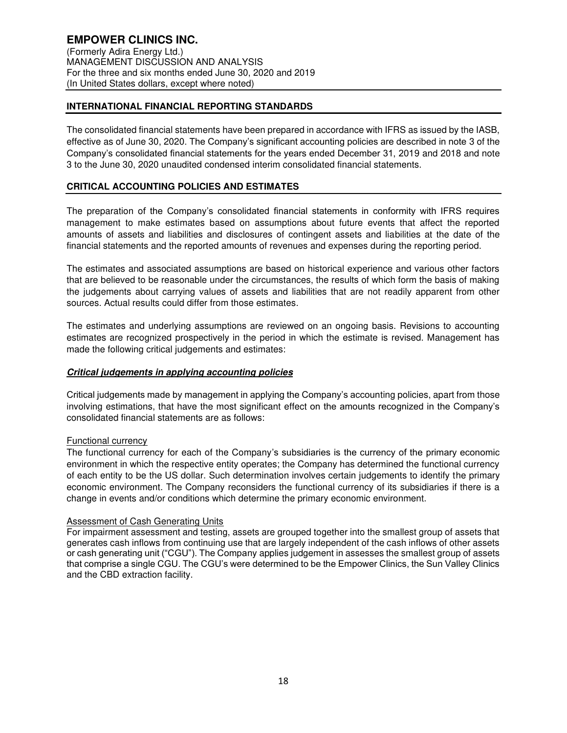# **INTERNATIONAL FINANCIAL REPORTING STANDARDS**

The consolidated financial statements have been prepared in accordance with IFRS as issued by the IASB, effective as of June 30, 2020. The Company's significant accounting policies are described in note 3 of the Company's consolidated financial statements for the years ended December 31, 2019 and 2018 and note 3 to the June 30, 2020 unaudited condensed interim consolidated financial statements.

### **CRITICAL ACCOUNTING POLICIES AND ESTIMATES**

The preparation of the Company's consolidated financial statements in conformity with IFRS requires management to make estimates based on assumptions about future events that affect the reported amounts of assets and liabilities and disclosures of contingent assets and liabilities at the date of the financial statements and the reported amounts of revenues and expenses during the reporting period.

The estimates and associated assumptions are based on historical experience and various other factors that are believed to be reasonable under the circumstances, the results of which form the basis of making the judgements about carrying values of assets and liabilities that are not readily apparent from other sources. Actual results could differ from those estimates.

The estimates and underlying assumptions are reviewed on an ongoing basis. Revisions to accounting estimates are recognized prospectively in the period in which the estimate is revised. Management has made the following critical judgements and estimates:

### **Critical judgements in applying accounting policies**

Critical judgements made by management in applying the Company's accounting policies, apart from those involving estimations, that have the most significant effect on the amounts recognized in the Company's consolidated financial statements are as follows:

#### Functional currency

The functional currency for each of the Company's subsidiaries is the currency of the primary economic environment in which the respective entity operates; the Company has determined the functional currency of each entity to be the US dollar. Such determination involves certain judgements to identify the primary economic environment. The Company reconsiders the functional currency of its subsidiaries if there is a change in events and/or conditions which determine the primary economic environment.

#### Assessment of Cash Generating Units

For impairment assessment and testing, assets are grouped together into the smallest group of assets that generates cash inflows from continuing use that are largely independent of the cash inflows of other assets or cash generating unit ("CGU"). The Company applies judgement in assesses the smallest group of assets that comprise a single CGU. The CGU's were determined to be the Empower Clinics, the Sun Valley Clinics and the CBD extraction facility.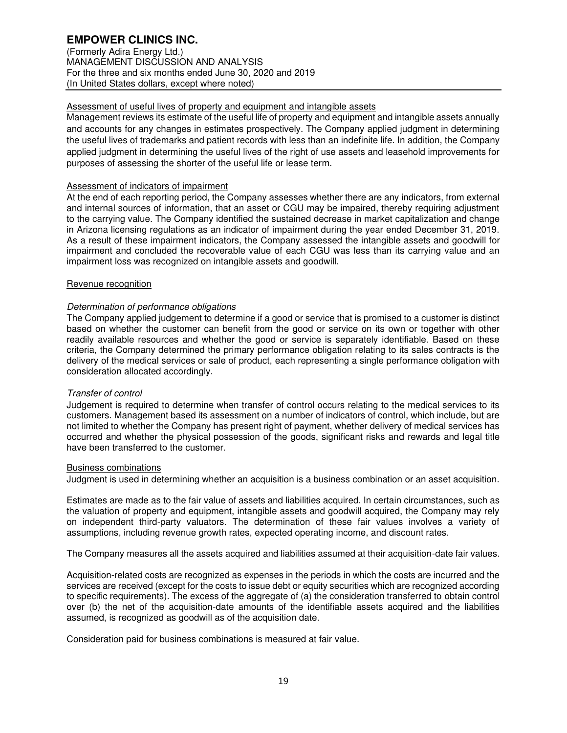# **EMPOWER CLINICS INC.**

(Formerly Adira Energy Ltd.) MANAGEMENT DISCUSSION AND ANALYSIS For the three and six months ended June 30, 2020 and 2019 (In United States dollars, except where noted)

# Assessment of useful lives of property and equipment and intangible assets

Management reviews its estimate of the useful life of property and equipment and intangible assets annually and accounts for any changes in estimates prospectively. The Company applied judgment in determining the useful lives of trademarks and patient records with less than an indefinite life. In addition, the Company applied judgment in determining the useful lives of the right of use assets and leasehold improvements for purposes of assessing the shorter of the useful life or lease term.

### Assessment of indicators of impairment

At the end of each reporting period, the Company assesses whether there are any indicators, from external and internal sources of information, that an asset or CGU may be impaired, thereby requiring adjustment to the carrying value. The Company identified the sustained decrease in market capitalization and change in Arizona licensing regulations as an indicator of impairment during the year ended December 31, 2019. As a result of these impairment indicators, the Company assessed the intangible assets and goodwill for impairment and concluded the recoverable value of each CGU was less than its carrying value and an impairment loss was recognized on intangible assets and goodwill.

#### Revenue recognition

### Determination of performance obligations

The Company applied judgement to determine if a good or service that is promised to a customer is distinct based on whether the customer can benefit from the good or service on its own or together with other readily available resources and whether the good or service is separately identifiable. Based on these criteria, the Company determined the primary performance obligation relating to its sales contracts is the delivery of the medical services or sale of product, each representing a single performance obligation with consideration allocated accordingly.

#### Transfer of control

Judgement is required to determine when transfer of control occurs relating to the medical services to its customers. Management based its assessment on a number of indicators of control, which include, but are not limited to whether the Company has present right of payment, whether delivery of medical services has occurred and whether the physical possession of the goods, significant risks and rewards and legal title have been transferred to the customer.

#### Business combinations

Judgment is used in determining whether an acquisition is a business combination or an asset acquisition.

Estimates are made as to the fair value of assets and liabilities acquired. In certain circumstances, such as the valuation of property and equipment, intangible assets and goodwill acquired, the Company may rely on independent third-party valuators. The determination of these fair values involves a variety of assumptions, including revenue growth rates, expected operating income, and discount rates.

The Company measures all the assets acquired and liabilities assumed at their acquisition-date fair values.

Acquisition-related costs are recognized as expenses in the periods in which the costs are incurred and the services are received (except for the costs to issue debt or equity securities which are recognized according to specific requirements). The excess of the aggregate of (a) the consideration transferred to obtain control over (b) the net of the acquisition-date amounts of the identifiable assets acquired and the liabilities assumed, is recognized as goodwill as of the acquisition date.

Consideration paid for business combinations is measured at fair value.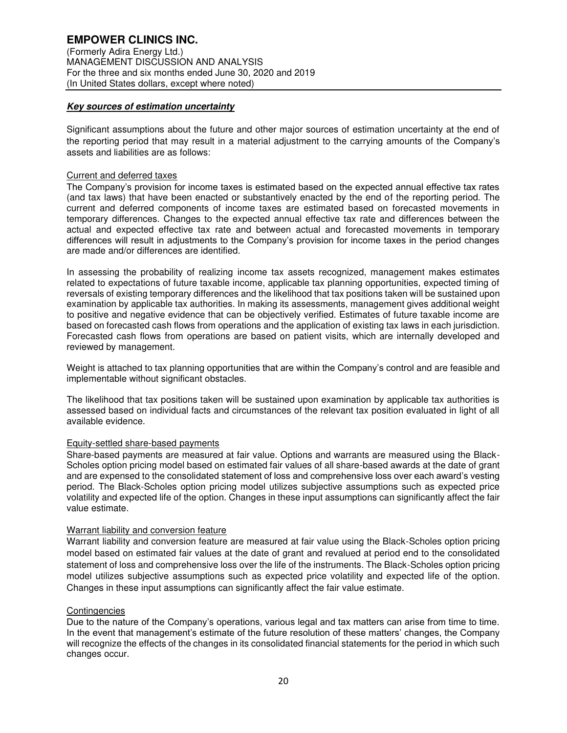## **Key sources of estimation uncertainty**

Significant assumptions about the future and other major sources of estimation uncertainty at the end of the reporting period that may result in a material adjustment to the carrying amounts of the Company's assets and liabilities are as follows:

#### Current and deferred taxes

The Company's provision for income taxes is estimated based on the expected annual effective tax rates (and tax laws) that have been enacted or substantively enacted by the end of the reporting period. The current and deferred components of income taxes are estimated based on forecasted movements in temporary differences. Changes to the expected annual effective tax rate and differences between the actual and expected effective tax rate and between actual and forecasted movements in temporary differences will result in adjustments to the Company's provision for income taxes in the period changes are made and/or differences are identified.

In assessing the probability of realizing income tax assets recognized, management makes estimates related to expectations of future taxable income, applicable tax planning opportunities, expected timing of reversals of existing temporary differences and the likelihood that tax positions taken will be sustained upon examination by applicable tax authorities. In making its assessments, management gives additional weight to positive and negative evidence that can be objectively verified. Estimates of future taxable income are based on forecasted cash flows from operations and the application of existing tax laws in each jurisdiction. Forecasted cash flows from operations are based on patient visits, which are internally developed and reviewed by management.

Weight is attached to tax planning opportunities that are within the Company's control and are feasible and implementable without significant obstacles.

The likelihood that tax positions taken will be sustained upon examination by applicable tax authorities is assessed based on individual facts and circumstances of the relevant tax position evaluated in light of all available evidence.

#### Equity-settled share-based payments

Share-based payments are measured at fair value. Options and warrants are measured using the Black-Scholes option pricing model based on estimated fair values of all share-based awards at the date of grant and are expensed to the consolidated statement of loss and comprehensive loss over each award's vesting period. The Black-Scholes option pricing model utilizes subjective assumptions such as expected price volatility and expected life of the option. Changes in these input assumptions can significantly affect the fair value estimate.

#### Warrant liability and conversion feature

Warrant liability and conversion feature are measured at fair value using the Black-Scholes option pricing model based on estimated fair values at the date of grant and revalued at period end to the consolidated statement of loss and comprehensive loss over the life of the instruments. The Black-Scholes option pricing model utilizes subjective assumptions such as expected price volatility and expected life of the option. Changes in these input assumptions can significantly affect the fair value estimate.

#### **Contingencies**

Due to the nature of the Company's operations, various legal and tax matters can arise from time to time. In the event that management's estimate of the future resolution of these matters' changes, the Company will recognize the effects of the changes in its consolidated financial statements for the period in which such changes occur.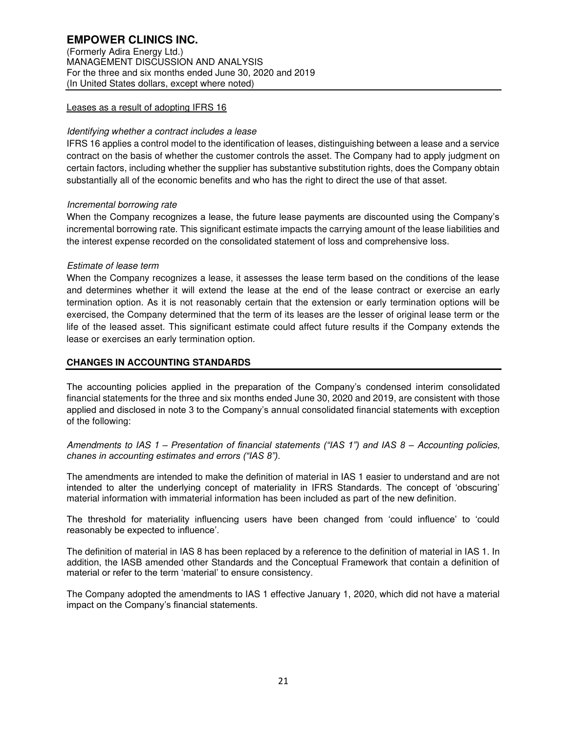### Leases as a result of adopting IFRS 16

### Identifying whether a contract includes a lease

IFRS 16 applies a control model to the identification of leases, distinguishing between a lease and a service contract on the basis of whether the customer controls the asset. The Company had to apply judgment on certain factors, including whether the supplier has substantive substitution rights, does the Company obtain substantially all of the economic benefits and who has the right to direct the use of that asset.

### Incremental borrowing rate

When the Company recognizes a lease, the future lease payments are discounted using the Company's incremental borrowing rate. This significant estimate impacts the carrying amount of the lease liabilities and the interest expense recorded on the consolidated statement of loss and comprehensive loss.

#### Estimate of lease term

When the Company recognizes a lease, it assesses the lease term based on the conditions of the lease and determines whether it will extend the lease at the end of the lease contract or exercise an early termination option. As it is not reasonably certain that the extension or early termination options will be exercised, the Company determined that the term of its leases are the lesser of original lease term or the life of the leased asset. This significant estimate could affect future results if the Company extends the lease or exercises an early termination option.

## **CHANGES IN ACCOUNTING STANDARDS**

The accounting policies applied in the preparation of the Company's condensed interim consolidated financial statements for the three and six months ended June 30, 2020 and 2019, are consistent with those applied and disclosed in note 3 to the Company's annual consolidated financial statements with exception of the following:

Amendments to IAS 1 *– Presentation of financial statements ("IAS 1") and IAS 8 –* Accounting policies, *chanes in accounting estimates and errors ("IAS 8").*

The amendments are intended to make the definition of material in IAS 1 easier to understand and are not intended to alter the underlying concept of materiality in IFRS Standards. The concept of 'obscuring' material information with immaterial information has been included as part of the new definition.

The threshold for materiality influencing users have been changed from 'could influence' to 'could reasonably be expected to influence'.

The definition of material in IAS 8 has been replaced by a reference to the definition of material in IAS 1. In addition, the IASB amended other Standards and the Conceptual Framework that contain a definition of material or refer to the term 'material' to ensure consistency.

The Company adopted the amendments to IAS 1 effective January 1, 2020, which did not have a material impact on the Company's financial statements.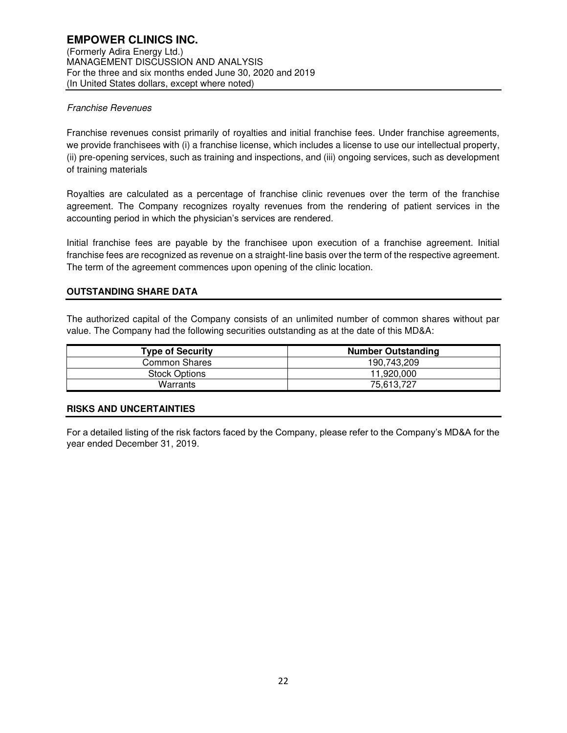## Franchise Revenues

Franchise revenues consist primarily of royalties and initial franchise fees. Under franchise agreements, we provide franchisees with (i) a franchise license, which includes a license to use our intellectual property, (ii) pre-opening services, such as training and inspections, and (iii) ongoing services, such as development of training materials

Royalties are calculated as a percentage of franchise clinic revenues over the term of the franchise agreement. The Company recognizes royalty revenues from the rendering of patient services in the accounting period in which the physician's services are rendered.

Initial franchise fees are payable by the franchisee upon execution of a franchise agreement. Initial franchise fees are recognized as revenue on a straight-line basis over the term of the respective agreement. The term of the agreement commences upon opening of the clinic location.

### **OUTSTANDING SHARE DATA**

The authorized capital of the Company consists of an unlimited number of common shares without par value. The Company had the following securities outstanding as at the date of this MD&A:

| <b>Type of Security</b> | <b>Number Outstanding</b> |
|-------------------------|---------------------------|
| Common Shares           | 190.743.209               |
| <b>Stock Options</b>    | 11.920.000                |
| Warrants                | 75,613,727                |

#### **RISKS AND UNCERTAINTIES**

For a detailed listing of the risk factors faced by the Company, please refer to the Company's MD&A for the year ended December 31, 2019.